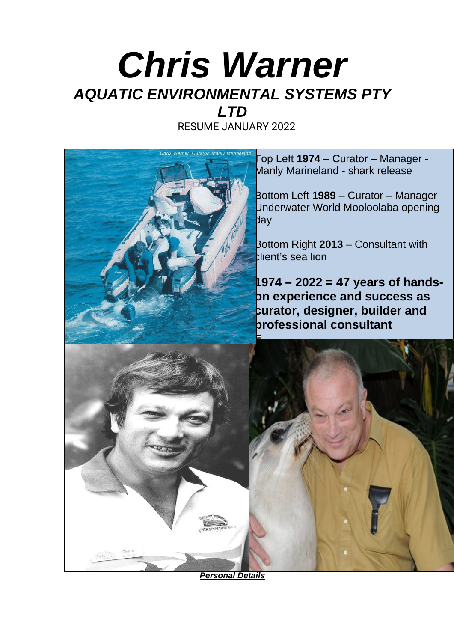# *Chris Warner AQUATIC ENVIRONMENTAL SYSTEMS PTY*

RESUME JANUARY 2022

*LTD*



Top Left **1974** – Curator – Manager - Manly Marineland - shark release

Bottom Left **1989** – Curator – Manager Underwater World Mooloolaba opening day

Bottom Right **2013** – Consultant with client's sea lion

**1974 – 2022 = 47 years of handson experience and success as curator, designer, builder and professional consultant**



*Personal Details*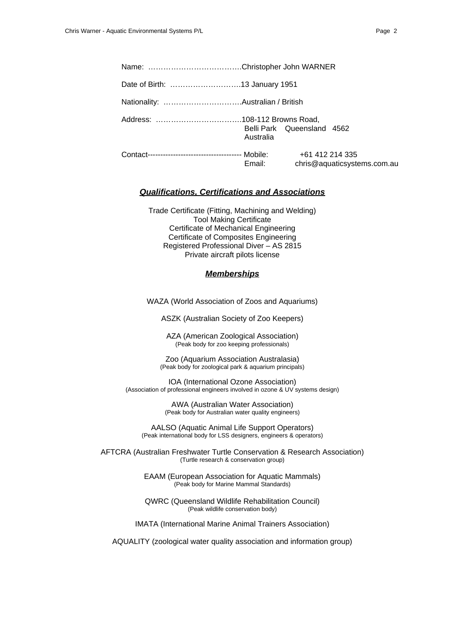Name: ……………………………….Christopher John WARNER Date of Birth: ……………………….13 January 1951 Nationality: ………………………….Australian / British Address: …………………………….108-112 Browns Road, Belli Park Queensland 4562 Australia Contact------------------------------------- Mobile: +61 412 214 335

Email: chris@aquaticsystems.com.au

#### *Qualifications, Certifications and Associations*

Trade Certificate (Fitting, Machining and Welding) Tool Making Certificate Certificate of Mechanical Engineering Certificate of Composites Engineering Registered Professional Diver – AS 2815 Private aircraft pilots license

#### *Memberships*

WAZA (World Association of Zoos and Aquariums)

ASZK (Australian Society of Zoo Keepers)

AZA (American Zoological Association) (Peak body for zoo keeping professionals)

Zoo (Aquarium Association Australasia) (Peak body for zoological park & aquarium principals)

IOA (International Ozone Association) (Association of professional engineers involved in ozone & UV systems design)

> AWA (Australian Water Association) (Peak body for Australian water quality engineers)

AALSO (Aquatic Animal Life Support Operators) (Peak international body for LSS designers, engineers & operators)

AFTCRA (Australian Freshwater Turtle Conservation & Research Association) (Turtle research & conservation group)

> EAAM (European Association for Aquatic Mammals) (Peak body for Marine Mammal Standards)

> QWRC (Queensland Wildlife Rehabilitation Council) (Peak wildlife conservation body)

IMATA (International Marine Animal Trainers Association)

AQUALITY (zoological water quality association and information group)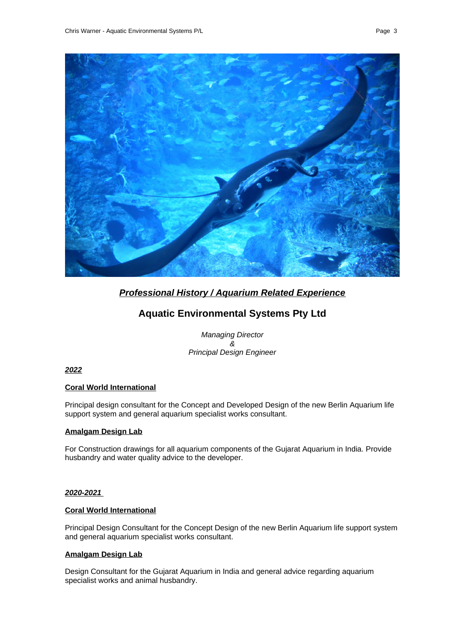

# *Professional History / Aquarium Related Experience*

# **Aquatic Environmental Systems Pty Ltd**

*Managing Director & Principal Design Engineer*

# *2022*

# **Coral World International**

Principal design consultant for the Concept and Developed Design of the new Berlin Aquarium life support system and general aquarium specialist works consultant.

#### **Amalgam Design Lab**

For Construction drawings for all aquarium components of the Gujarat Aquarium in India. Provide husbandry and water quality advice to the developer.

#### *2020-2021*

#### **Coral World International**

Principal Design Consultant for the Concept Design of the new Berlin Aquarium life support system and general aquarium specialist works consultant.

# **Amalgam Design Lab**

Design Consultant for the Gujarat Aquarium in India and general advice regarding aquarium specialist works and animal husbandry.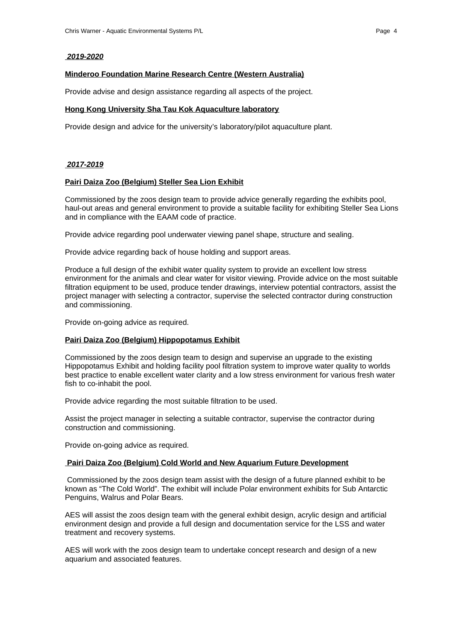#### *2019-2020*

#### **Minderoo Foundation Marine Research Centre (Western Australia)**

Provide advise and design assistance regarding all aspects of the project.

#### **Hong Kong University Sha Tau Kok Aquaculture laboratory**

Provide design and advice for the university's laboratory/pilot aquaculture plant.

#### *2017-2019*

#### **Pairi Daiza Zoo (Belgium) Steller Sea Lion Exhibit**

Commissioned by the zoos design team to provide advice generally regarding the exhibits pool, haul-out areas and general environment to provide a suitable facility for exhibiting Steller Sea Lions and in compliance with the EAAM code of practice.

Provide advice regarding pool underwater viewing panel shape, structure and sealing.

Provide advice regarding back of house holding and support areas.

Produce a full design of the exhibit water quality system to provide an excellent low stress environment for the animals and clear water for visitor viewing. Provide advice on the most suitable filtration equipment to be used, produce tender drawings, interview potential contractors, assist the project manager with selecting a contractor, supervise the selected contractor during construction and commissioning.

Provide on-going advice as required.

#### **Pairi Daiza Zoo (Belgium) Hippopotamus Exhibit**

Commissioned by the zoos design team to design and supervise an upgrade to the existing Hippopotamus Exhibit and holding facility pool filtration system to improve water quality to worlds best practice to enable excellent water clarity and a low stress environment for various fresh water fish to co-inhabit the pool.

Provide advice regarding the most suitable filtration to be used.

Assist the project manager in selecting a suitable contractor, supervise the contractor during construction and commissioning.

Provide on-going advice as required.

#### **Pairi Daiza Zoo (Belgium) Cold World and New Aquarium Future Development**

Commissioned by the zoos design team assist with the design of a future planned exhibit to be known as "The Cold World". The exhibit will include Polar environment exhibits for Sub Antarctic Penguins, Walrus and Polar Bears.

AES will assist the zoos design team with the general exhibit design, acrylic design and artificial environment design and provide a full design and documentation service for the LSS and water treatment and recovery systems.

AES will work with the zoos design team to undertake concept research and design of a new aquarium and associated features.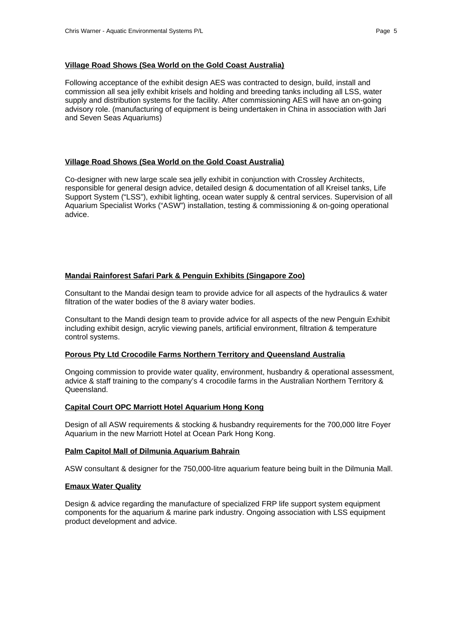#### **Village Road Shows (Sea World on the Gold Coast Australia)**

Following acceptance of the exhibit design AES was contracted to design, build, install and commission all sea jelly exhibit krisels and holding and breeding tanks including all LSS, water supply and distribution systems for the facility. After commissioning AES will have an on-going advisory role. (manufacturing of equipment is being undertaken in China in association with Jari and Seven Seas Aquariums)

#### **Village Road Shows (Sea World on the Gold Coast Australia)**

Co-designer with new large scale sea jelly exhibit in conjunction with Crossley Architects, responsible for general design advice, detailed design & documentation of all Kreisel tanks, Life Support System ("LSS"), exhibit lighting, ocean water supply & central services. Supervision of all Aquarium Specialist Works ("ASW") installation, testing & commissioning & on-going operational advice.

#### **Mandai Rainforest Safari Park & Penguin Exhibits (Singapore Zoo)**

Consultant to the Mandai design team to provide advice for all aspects of the hydraulics & water filtration of the water bodies of the 8 aviary water bodies.

Consultant to the Mandi design team to provide advice for all aspects of the new Penguin Exhibit including exhibit design, acrylic viewing panels, artificial environment, filtration & temperature control systems.

#### **Porous Pty Ltd Crocodile Farms Northern Territory and Queensland Australia**

Ongoing commission to provide water quality, environment, husbandry & operational assessment, advice & staff training to the company's 4 crocodile farms in the Australian Northern Territory & Queensland.

#### **Capital Court OPC Marriott Hotel Aquarium Hong Kong**

Design of all ASW requirements & stocking & husbandry requirements for the 700,000 litre Foyer Aquarium in the new Marriott Hotel at Ocean Park Hong Kong.

#### **Palm Capitol Mall of Dilmunia Aquarium Bahrain**

ASW consultant & designer for the 750,000-litre aquarium feature being built in the Dilmunia Mall.

#### **Emaux Water Quality**

Design & advice regarding the manufacture of specialized FRP life support system equipment components for the aquarium & marine park industry. Ongoing association with LSS equipment product development and advice.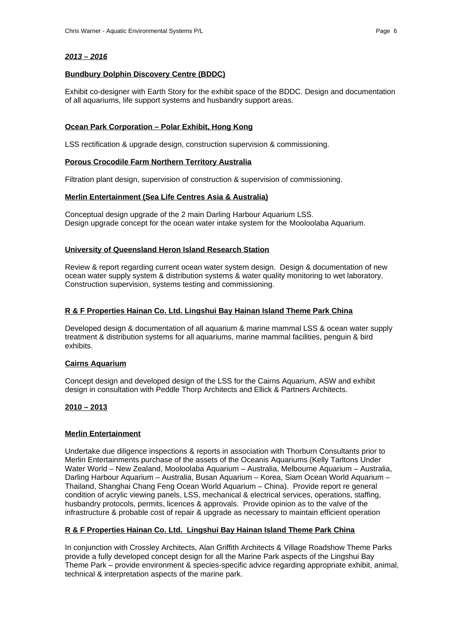# **Bundbury Dolphin Discovery Centre (BDDC)**

Exhibit co-designer with Earth Story for the exhibit space of the BDDC. Design and documentation of all aquariums, life support systems and husbandry support areas.

# **Ocean Park Corporation – Polar Exhibit, Hong Kong**

LSS rectification & upgrade design, construction supervision & commissioning.

#### **Porous Crocodile Farm Northern Territory Australia**

Filtration plant design, supervision of construction & supervision of commissioning.

# **Merlin Entertainment (Sea Life Centres Asia & Australia)**

Conceptual design upgrade of the 2 main Darling Harbour Aquarium LSS. Design upgrade concept for the ocean water intake system for the Mooloolaba Aquarium.

## **University of Queensland Heron Island Research Station**

Review & report regarding current ocean water system design. Design & documentation of new ocean water supply system & distribution systems & water quality monitoring to wet laboratory. Construction supervision, systems testing and commissioning.

## **R & F Properties Hainan Co. Ltd. Lingshui Bay Hainan Island Theme Park China**

Developed design & documentation of all aquarium & marine mammal LSS & ocean water supply treatment & distribution systems for all aquariums, marine mammal facilities, penguin & bird exhibits.

# **Cairns Aquarium**

Concept design and developed design of the LSS for the Cairns Aquarium, ASW and exhibit design in consultation with Peddle Thorp Architects and Ellick & Partners Architects.

# **2010 – 2013**

#### **Merlin Entertainment**

Undertake due diligence inspections & reports in association with Thorburn Consultants prior to Merlin Entertainments purchase of the assets of the Oceanis Aquariums (Kelly Tarltons Under Water World – New Zealand, Mooloolaba Aquarium – Australia, Melbourne Aquarium – Australia, Darling Harbour Aquarium – Australia, Busan Aquarium – Korea, Siam Ocean World Aquarium – Thailand, Shanghai Chang Feng Ocean World Aquarium – China). Provide report re general condition of acrylic viewing panels, LSS, mechanical & electrical services, operations, staffing, husbandry protocols, permits, licences & approvals. Provide opinion as to the valve of the infrastructure & probable cost of repair & upgrade as necessary to maintain efficient operation

# **R & F Properties Hainan Co. Ltd. Lingshui Bay Hainan Island Theme Park China**

In conjunction with Crossley Architects, Alan Griffith Architects & Village Roadshow Theme Parks provide a fully developed concept design for all the Marine Park aspects of the Lingshui Bay Theme Park – provide environment & species-specific advice regarding appropriate exhibit, animal, technical & interpretation aspects of the marine park.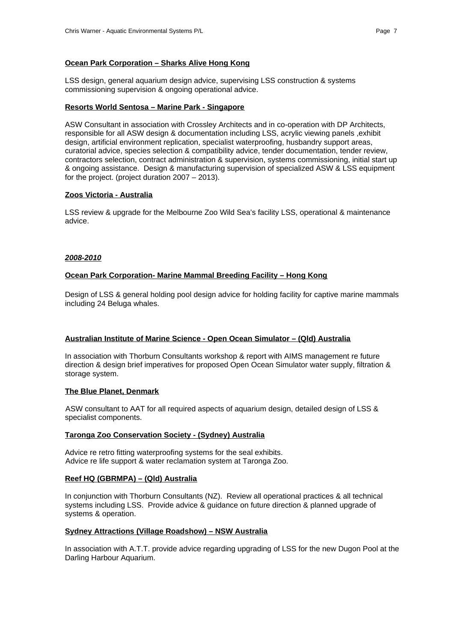#### **Ocean Park Corporation – Sharks Alive Hong Kong**

LSS design, general aquarium design advice, supervising LSS construction & systems commissioning supervision & ongoing operational advice.

#### **Resorts World Sentosa – Marine Park - Singapore**

ASW Consultant in association with Crossley Architects and in co-operation with DP Architects, responsible for all ASW design & documentation including LSS, acrylic viewing panels ,exhibit design, artificial environment replication, specialist waterproofing, husbandry support areas, curatorial advice, species selection & compatibility advice, tender documentation, tender review, contractors selection, contract administration & supervision, systems commissioning, initial start up & ongoing assistance. Design & manufacturing supervision of specialized ASW & LSS equipment for the project. (project duration 2007 – 2013).

#### **Zoos Victoria - Australia**

LSS review & upgrade for the Melbourne Zoo Wild Sea's facility LSS, operational & maintenance advice.

#### *2008-2010*

#### **Ocean Park Corporation- Marine Mammal Breeding Facility – Hong Kong**

Design of LSS & general holding pool design advice for holding facility for captive marine mammals including 24 Beluga whales.

#### **Australian Institute of Marine Science - Open Ocean Simulator – (Qld) Australia**

In association with Thorburn Consultants workshop & report with AIMS management re future direction & design brief imperatives for proposed Open Ocean Simulator water supply, filtration & storage system.

#### **The Blue Planet, Denmark**

ASW consultant to AAT for all required aspects of aquarium design, detailed design of LSS & specialist components.

#### **Taronga Zoo Conservation Society - (Sydney) Australia**

Advice re retro fitting waterproofing systems for the seal exhibits. Advice re life support & water reclamation system at Taronga Zoo.

# **Reef HQ (GBRMPA) – (Qld) Australia**

In conjunction with Thorburn Consultants (NZ). Review all operational practices & all technical systems including LSS. Provide advice & guidance on future direction & planned upgrade of systems & operation.

#### **Sydney Attractions (Village Roadshow) – NSW Australia**

In association with A.T.T. provide advice regarding upgrading of LSS for the new Dugon Pool at the Darling Harbour Aquarium.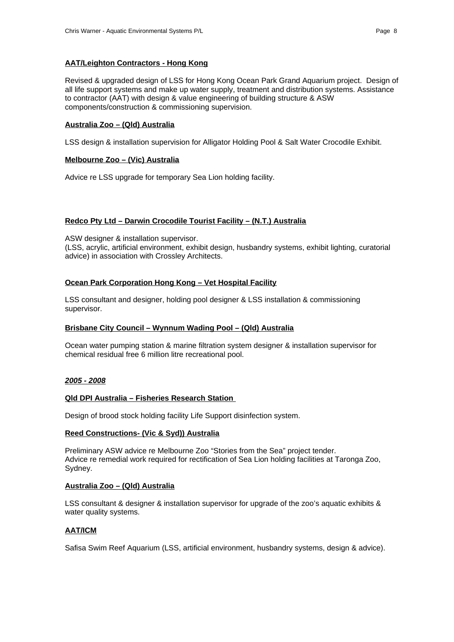# **AAT/Leighton Contractors - Hong Kong**

Revised & upgraded design of LSS for Hong Kong Ocean Park Grand Aquarium project. Design of all life support systems and make up water supply, treatment and distribution systems. Assistance to contractor (AAT) with design & value engineering of building structure & ASW components/construction & commissioning supervision.

## **Australia Zoo – (Qld) Australia**

LSS design & installation supervision for Alligator Holding Pool & Salt Water Crocodile Exhibit.

## **Melbourne Zoo – (Vic) Australia**

Advice re LSS upgrade for temporary Sea Lion holding facility.

## **Redco Pty Ltd – Darwin Crocodile Tourist Facility – (N.T.) Australia**

ASW designer & installation supervisor.

(LSS, acrylic, artificial environment, exhibit design, husbandry systems, exhibit lighting, curatorial advice) in association with Crossley Architects.

## **Ocean Park Corporation Hong Kong – Vet Hospital Facility**

LSS consultant and designer, holding pool designer & LSS installation & commissioning supervisor.

#### **Brisbane City Council – Wynnum Wading Pool – (Qld) Australia**

Ocean water pumping station & marine filtration system designer & installation supervisor for chemical residual free 6 million litre recreational pool.

#### *2005 - 2008*

#### **Qld DPI Australia – Fisheries Research Station**

Design of brood stock holding facility Life Support disinfection system.

#### **Reed Constructions- (Vic & Syd)) Australia**

Preliminary ASW advice re Melbourne Zoo "Stories from the Sea" project tender. Advice re remedial work required for rectification of Sea Lion holding facilities at Taronga Zoo, Sydney.

#### **Australia Zoo – (Qld) Australia**

LSS consultant & designer & installation supervisor for upgrade of the zoo's aquatic exhibits & water quality systems.

# **AAT /ICM**

Safisa Swim Reef Aquarium (LSS, artificial environment, husbandry systems, design & advice).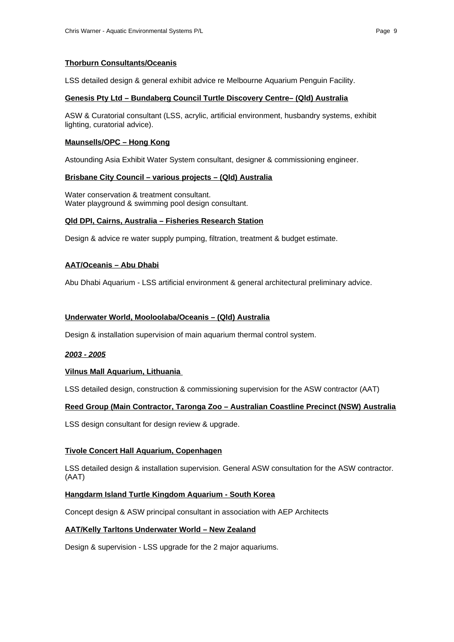# **Thorburn Consultants/Oceanis**

LSS detailed design & general exhibit advice re Melbourne Aquarium Penguin Facility.

#### **Genesis Pty Ltd – Bundaberg Council Turtle Discovery Centre– (Qld) Australia**

ASW & Curatorial consultant (LSS, acrylic, artificial environment, husbandry systems, exhibit lighting, curatorial advice).

#### **Maunsells/OPC – Hong Kong**

Astounding Asia Exhibit Water System consultant, designer & commissioning engineer.

## **Brisbane City Council – various projects – (Qld) Australia**

Water conservation & treatment consultant. Water playground & swimming pool design consultant.

#### **Qld DPI, Cairns, Australia – Fisheries Research Station**

Design & advice re water supply pumping, filtration, treatment & budget estimate.

## **AAT/Oceanis – Abu Dhabi**

Abu Dhabi Aquarium - LSS artificial environment & general architectural preliminary advice.

## **Underwater World, Mooloolaba/Oceanis – (Qld) Australia**

Design & installation supervision of main aquarium thermal control system.

#### *2003 - 2005*

#### **Vilnus Mall Aquarium, Lithuania**

LSS detailed design, construction & commissioning supervision for the ASW contractor (AAT)

# **Reed Group (Main Contractor, Taronga Zoo – Australian Coastline Precinct (NSW) Australia**

LSS design consultant for design review & upgrade.

# **Tivole Concert Hall Aquarium, Copenhagen**

LSS detailed design & installation supervision. General ASW consultation for the ASW contractor. (AAT)

# **Hangdarm Island Turtle Kingdom Aquarium - South Korea**

Concept design & ASW principal consultant in association with AEP Architects

# **AAT/Kelly Tarltons Underwater World – New Zealand**

Design & supervision - LSS upgrade for the 2 major aquariums.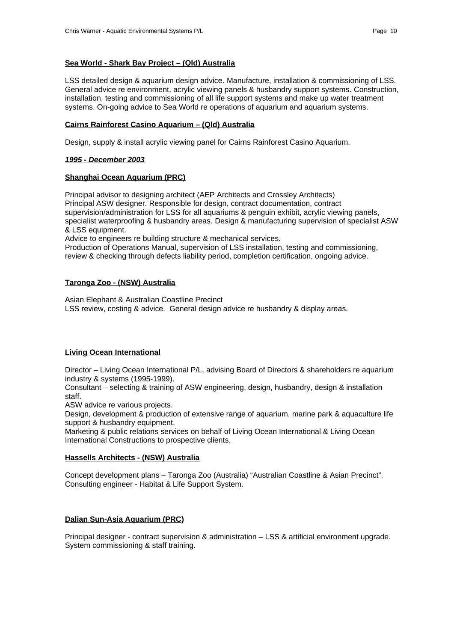#### **Sea World - Shark Bay Project – (Qld) Australia**

LSS detailed design & aquarium design advice. Manufacture, installation & commissioning of LSS. General advice re environment, acrylic viewing panels & husbandry support systems. Construction, installation, testing and commissioning of all life support systems and make up water treatment systems. On-going advice to Sea World re operations of aquarium and aquarium systems.

#### **Cairns Rainforest Casino Aquarium – (Qld) Australia**

Design, supply & install acrylic viewing panel for Cairns Rainforest Casino Aquarium.

#### *1995 - December 2003*

## **Shanghai Ocean Aquarium (PRC)**

Principal advisor to designing architect (AEP Architects and Crossley Architects) Principal ASW designer. Responsible for design, contract documentation, contract supervision/administration for LSS for all aquariums & penguin exhibit, acrylic viewing panels, specialist waterproofing & husbandry areas. Design & manufacturing supervision of specialist ASW & LSS equipment.

Advice to engineers re building structure & mechanical services.

Production of Operations Manual, supervision of LSS installation, testing and commissioning, review & checking through defects liability period, completion certification, ongoing advice.

## **Taronga Zoo - (NSW) Australia**

Asian Elephant & Australian Coastline Precinct LSS review, costing & advice. General design advice re husbandry & display areas.

# **Living Ocean International**

Director – Living Ocean International P/L, advising Board of Directors & shareholders re aquarium industry & systems (1995-1999).

Consultant – selecting & training of ASW engineering, design, husbandry, design & installation staff.

ASW advice re various projects.

Design, development & production of extensive range of aquarium, marine park & aquaculture life support & husbandry equipment.

Marketing & public relations services on behalf of Living Ocean International & Living Ocean International Constructions to prospective clients.

# **Hassells Architects - (NSW) Australia**

Concept development plans – Taronga Zoo (Australia) "Australian Coastline & Asian Precinct". Consulting engineer - Habitat & Life Support System.

# **Dalian Sun-Asia Aquarium (PRC)**

Principal designer - contract supervision & administration – LSS & artificial environment upgrade. System commissioning & staff training.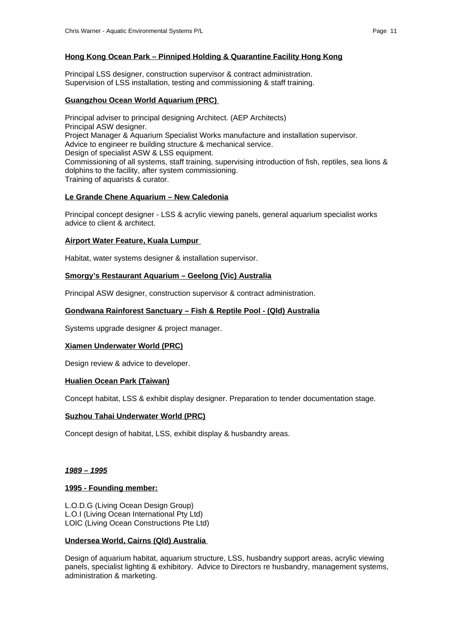# **Hong Kong Ocean Park – Pinniped Holding & Quarantine Facility Hong Kong**

Principal LSS designer, construction supervisor & contract administration. Supervision of LSS installation, testing and commissioning & staff training.

## **Guangzhou Ocean World Aquarium (PRC)**

Principal adviser to principal designing Architect. (AEP Architects) Principal ASW designer. Project Manager & Aquarium Specialist Works manufacture and installation supervisor. Advice to engineer re building structure & mechanical service. Design of specialist ASW & LSS equipment. Commissioning of all systems, staff training, supervising introduction of fish, reptiles, sea lions & dolphins to the facility, after system commissioning. Training of aquarists & curator.

# **Le Grande Chene Aquarium – New Caledonia**

Principal concept designer - LSS & acrylic viewing panels, general aquarium specialist works advice to client & architect.

#### **Airport Water Feature, Kuala Lumpur**

Habitat, water systems designer & installation supervisor.

#### **Smorgy's Restaurant Aquarium – Geelong (Vic) Australia**

Principal ASW designer, construction supervisor & contract administration.

## **Gondwana Rainforest Sanctuary – Fish & Reptile Pool - (Qld) Australia**

Systems upgrade designer & project manager.

#### **Xiamen Underwater World (PRC)**

Design review & advice to developer.

#### **Hualien Ocean Park (Taiwan)**

Concept habitat, LSS & exhibit display designer. Preparation to tender documentation stage.

#### **Suzhou Tahai Underwater World (PRC)**

Concept design of habitat, LSS, exhibit display & husbandry areas.

#### *1989 – 1995*

#### **1995 - Founding member:**

L.O.D.G (Living Ocean Design Group) L.O.I (Living Ocean International Pty Ltd) LOIC (Living Ocean Constructions Pte Ltd)

#### **Undersea World, Cairns (Qld) Australia**

Design of aquarium habitat, aquarium structure, LSS, husbandry support areas, acrylic viewing panels, specialist lighting & exhibitory. Advice to Directors re husbandry, management systems, administration & marketing.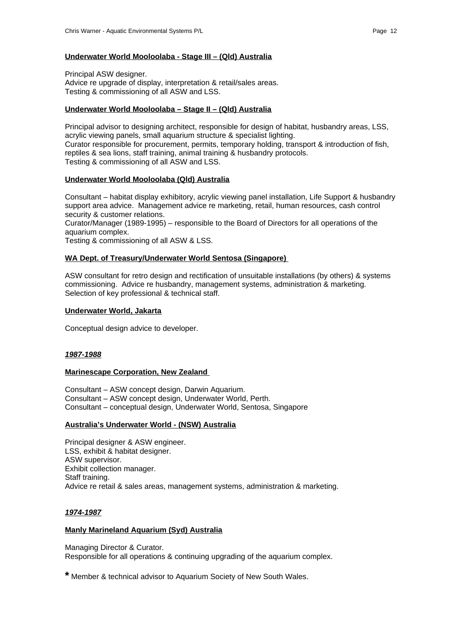#### **Underwater World Mooloolaba - Stage III – (Qld) Australia**

Principal ASW designer. Advice re upgrade of display, interpretation & retail/sales areas. Testing & commissioning of all ASW and LSS.

#### **Underwater World Mooloolaba – Stage II – (Qld) Australia**

Principal advisor to designing architect, responsible for design of habitat, husbandry areas, LSS, acrylic viewing panels, small aquarium structure & specialist lighting. Curator responsible for procurement, permits, temporary holding, transport & introduction of fish, reptiles & sea lions, staff training, animal training & husbandry protocols. Testing & commissioning of all ASW and LSS.

## **Underwater World Mooloolaba (Qld) Australia**

Consultant – habitat display exhibitory, acrylic viewing panel installation, Life Support & husbandry support area advice. Management advice re marketing, retail, human resources, cash control security & customer relations.

Curator/Manager (1989-1995) – responsible to the Board of Directors for all operations of the aquarium complex.

Testing & commissioning of all ASW & LSS.

## **WA Dept. of Treasury/Underwater World Sentosa (Singapore)**

ASW consultant for retro design and rectification of unsuitable installations (by others) & systems commissioning. Advice re husbandry, management systems, administration & marketing. Selection of key professional & technical staff.

#### **Underwater World, Jakarta**

Conceptual design advice to developer.

#### *1987-1988*

#### **Marinescape Corporation, New Zealand**

Consultant – ASW concept design, Darwin Aquarium. Consultant – ASW concept design, Underwater World, Perth. Consultant – conceptual design, Underwater World, Sentosa, Singapore

#### **Australia's Underwater World - (NSW) Australia**

Principal designer & ASW engineer. LSS, exhibit & habitat designer. ASW supervisor. Exhibit collection manager. Staff training. Advice re retail & sales areas, management systems, administration & marketing.

#### *1974-1987*

#### **Manly Marineland Aquarium (Syd) Australia**

Managing Director & Curator. Responsible for all operations & continuing upgrading of the aquarium complex.

**\*** Member & technical advisor to Aquarium Society of New South Wales.